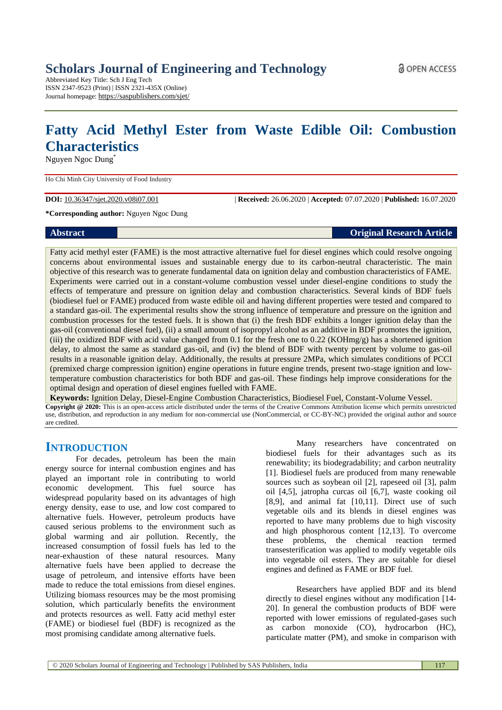Abbreviated Key Title: Sch J Eng Tech ISSN 2347-9523 (Print) | ISSN 2321-435X (Online) Journal homepage: https://saspublishers.com/sjet/

# **Fatty Acid Methyl Ester from Waste Edible Oil: Combustion Characteristics**

Nguyen Ngoc Dung\*

Ho Chi Minh City University of Food Industry

**DOI:** 10.36347/sjet.2020.v08i07.001 | **Received:** 26.06.2020 | **Accepted:** 07.07.2020 | **Published:** 16.07.2020

**\*Corresponding author:** Nguyen Ngoc Dung

## **Abstract Original Research Article**

Fatty acid methyl ester (FAME) is the most attractive alternative fuel for diesel engines which could resolve ongoing concerns about environmental issues and sustainable energy due to its carbon-neutral characteristic. The main objective of this research was to generate fundamental data on ignition delay and combustion characteristics of FAME. Experiments were carried out in a constant-volume combustion vessel under diesel-engine conditions to study the effects of temperature and pressure on ignition delay and combustion characteristics. Several kinds of BDF fuels (biodiesel fuel or FAME) produced from waste edible oil and having different properties were tested and compared to a standard gas-oil. The experimental results show the strong influence of temperature and pressure on the ignition and combustion processes for the tested fuels. It is shown that (i) the fresh BDF exhibits a longer ignition delay than the gas-oil (conventional diesel fuel), (ii) a small amount of isopropyl alcohol as an additive in BDF promotes the ignition, (iii) the oxidized BDF with acid value changed from 0.1 for the fresh one to 0.22 (KOHmg/g) has a shortened ignition delay, to almost the same as standard gas-oil, and (iv) the blend of BDF with twenty percent by volume to gas-oil results in a reasonable ignition delay. Additionally, the results at pressure 2MPa, which simulates conditions of PCCI (premixed charge compression ignition) engine operations in future engine trends, present two-stage ignition and lowtemperature combustion characteristics for both BDF and gas-oil. These findings help improve considerations for the optimal design and operation of diesel engines fuelled with FAME.

**Keywords:** Ignition Delay, Diesel-Engine Combustion Characteristics, Biodiesel Fuel, Constant-Volume Vessel. **Copyright @ 2020:** This is an open-access article distributed under the terms of the Creative Commons Attribution license which permits unrestricted use, distribution, and reproduction in any medium for non-commercial use (NonCommercial, or CC-BY-NC) provided the original author and source are credited.

## **INTRODUCTION**

For decades, petroleum has been the main energy source for internal combustion engines and has played an important role in contributing to world economic development. This fuel source has widespread popularity based on its advantages of high energy density, ease to use, and low cost compared to alternative fuels. However, petroleum products have caused serious problems to the environment such as global warming and air pollution. Recently, the increased consumption of fossil fuels has led to the near-exhaustion of these natural resources. Many alternative fuels have been applied to decrease the usage of petroleum, and intensive efforts have been made to reduce the total emissions from diesel engines. Utilizing biomass resources may be the most promising solution, which particularly benefits the environment and protects resources as well. Fatty acid methyl ester (FAME) or biodiesel fuel (BDF) is recognized as the most promising candidate among alternative fuels.

Many researchers have concentrated on biodiesel fuels for their advantages such as its renewability; its biodegradability; and carbon neutrality [1]. Biodiesel fuels are produced from many renewable sources such as soybean oil [2], rapeseed oil [3], palm oil [4,5], jatropha curcas oil [6,7], waste cooking oil [8,9], and animal fat [10,11]. Direct use of such vegetable oils and its blends in diesel engines was reported to have many problems due to high viscosity and high phosphorous content [12,13]. To overcome these problems, the chemical reaction termed transesterification was applied to modify vegetable oils into vegetable oil esters. They are suitable for diesel engines and defined as FAME or BDF fuel.

Researchers have applied BDF and its blend directly to diesel engines without any modification [14- 20]. In general the combustion products of BDF were reported with lower emissions of regulated-gases such as carbon monoxide (CO), hydrocarbon (HC), particulate matter (PM), and smoke in comparison with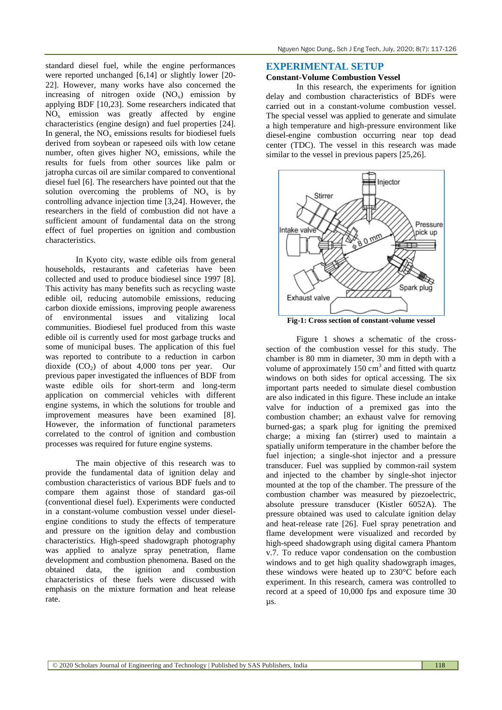standard diesel fuel, while the engine performances were reported unchanged [6,14] or slightly lower [20- 22]. However, many works have also concerned the increasing of nitrogen oxide  $(NO<sub>x</sub>)$  emission by applying BDF [10,23]. Some researchers indicated that  $NO<sub>x</sub>$  emission was greatly affected by engine characteristics (engine design) and fuel properties [24]. In general, the  $NO<sub>x</sub>$  emissions results for biodiesel fuels derived from soybean or rapeseed oils with low cetane number, often gives higher  $NO<sub>x</sub>$  emissions, while the results for fuels from other sources like palm or jatropha curcas oil are similar compared to conventional diesel fuel [6]. The researchers have pointed out that the solution overcoming the problems of  $NO<sub>x</sub>$  is by controlling advance injection time [3,24]. However, the researchers in the field of combustion did not have a sufficient amount of fundamental data on the strong effect of fuel properties on ignition and combustion characteristics.

In Kyoto city, waste edible oils from general households, restaurants and cafeterias have been collected and used to produce biodiesel since 1997 [8]. This activity has many benefits such as recycling waste edible oil, reducing automobile emissions, reducing carbon dioxide emissions, improving people awareness of environmental issues and vitalizing local communities. Biodiesel fuel produced from this waste edible oil is currently used for most garbage trucks and some of municipal buses. The application of this fuel was reported to contribute to a reduction in carbon dioxide  $(CO<sub>2</sub>)$  of about 4,000 tons per year. Our previous paper investigated the influences of BDF from waste edible oils for short-term and long-term application on commercial vehicles with different engine systems, in which the solutions for trouble and improvement measures have been examined [8]. However, the information of functional parameters correlated to the control of ignition and combustion processes was required for future engine systems.

The main objective of this research was to provide the fundamental data of ignition delay and combustion characteristics of various BDF fuels and to compare them against those of standard gas-oil (conventional diesel fuel). Experiments were conducted in a constant-volume combustion vessel under dieselengine conditions to study the effects of temperature and pressure on the ignition delay and combustion characteristics. High-speed shadowgraph photography was applied to analyze spray penetration, flame development and combustion phenomena. Based on the obtained data, the ignition and combustion characteristics of these fuels were discussed with emphasis on the mixture formation and heat release rate.

## **EXPERIMENTAL SETUP**

#### **Constant-Volume Combustion Vessel**

In this research, the experiments for ignition delay and combustion characteristics of BDFs were carried out in a constant-volume combustion vessel. The special vessel was applied to generate and simulate a high temperature and high-pressure environment like diesel-engine combustion occurring near top dead center (TDC). The vessel in this research was made similar to the vessel in previous papers [25,26].



**Fig-1: Cross section of constant-volume vessel**

Figure 1 shows a schematic of the crosssection of the combustion vessel for this study. The chamber is 80 mm in diameter, 30 mm in depth with a volume of approximately  $150 \text{ cm}^3$  and fitted with quartz windows on both sides for optical accessing. The six important parts needed to simulate diesel combustion are also indicated in this figure. These include an intake valve for induction of a premixed gas into the combustion chamber; an exhaust valve for removing burned-gas; a spark plug for igniting the premixed charge; a mixing fan (stirrer) used to maintain a spatially uniform temperature in the chamber before the fuel injection; a single-shot injector and a pressure transducer. Fuel was supplied by common-rail system and injected to the chamber by single-shot injector mounted at the top of the chamber. The pressure of the combustion chamber was measured by piezoelectric, absolute pressure transducer (Kistler 6052A). The pressure obtained was used to calculate ignition delay and heat-release rate [26]. Fuel spray penetration and flame development were visualized and recorded by high-speed shadowgraph using digital camera Phantom v.7. To reduce vapor condensation on the combustion windows and to get high quality shadowgraph images, these windows were heated up to 230°C before each experiment. In this research, camera was controlled to record at a speed of 10,000 fps and exposure time 30 µs.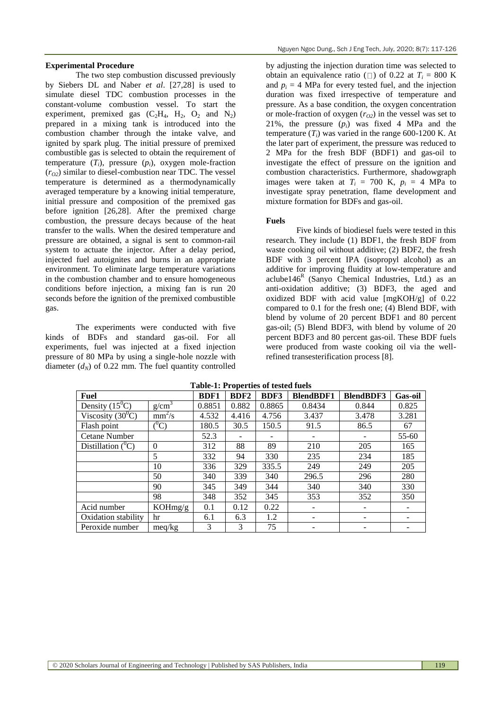#### **Experimental Procedure**

The two step combustion discussed previously by Siebers DL and Naber *et al*. [27,28] is used to simulate diesel TDC combustion processes in the constant-volume combustion vessel. To start the experiment, premixed gas  $(C_2H_4, H_2, O_2$  and  $N_2$ ) prepared in a mixing tank is introduced into the combustion chamber through the intake valve, and ignited by spark plug. The initial pressure of premixed combustible gas is selected to obtain the requirement of temperature  $(T_i)$ , pressure  $(p_i)$ , oxygen mole-fraction  $(r<sub>O2</sub>)$  similar to diesel-combustion near TDC. The vessel temperature is determined as a thermodynamically averaged temperature by a knowing initial temperature, initial pressure and composition of the premixed gas before ignition [26,28]. After the premixed charge combustion, the pressure decays because of the heat transfer to the walls. When the desired temperature and pressure are obtained, a signal is sent to common-rail system to actuate the injector. After a delay period, injected fuel autoignites and burns in an appropriate environment. To eliminate large temperature variations in the combustion chamber and to ensure homogeneous conditions before injection, a mixing fan is run 20 seconds before the ignition of the premixed combustible gas.

The experiments were conducted with five kinds of BDFs and standard gas-oil. For all experiments, fuel was injected at a fixed injection pressure of 80 MPa by using a single-hole nozzle with diameter  $(d_N)$  of 0.22 mm. The fuel quantity controlled by adjusting the injection duration time was selected to obtain an equivalence ratio ( $\Box$ ) of 0.22 at  $T_i = 800$  K and  $p_i = 4$  MPa for every tested fuel, and the injection duration was fixed irrespective of temperature and pressure. As a base condition, the oxygen concentration or mole-fraction of oxygen (*rO2*) in the vessel was set to 21%, the pressure  $(p_i)$  was fixed 4 MPa and the temperature  $(T_i)$  was varied in the range 600-1200 K. At the later part of experiment, the pressure was reduced to 2 MPa for the fresh BDF (BDF1) and gas-oil to investigate the effect of pressure on the ignition and combustion characteristics. Furthermore, shadowgraph images were taken at  $T_i = 700$  K,  $p_i = 4$  MPa to investigate spray penetration, flame development and mixture formation for BDFs and gas-oil.

#### **Fuels**

Five kinds of biodiesel fuels were tested in this research. They include (1) BDF1, the fresh BDF from waste cooking oil without additive; (2) BDF2, the fresh BDF with 3 percent IPA (isopropyl alcohol) as an additive for improving fluidity at low-temperature and  $aclube146<sup>R</sup>$  (Sanyo Chemical Industries, Ltd.) as an anti-oxidation additive; (3) BDF3, the aged and oxidized BDF with acid value [mgKOH/g] of 0.22 compared to 0.1 for the fresh one; (4) Blend BDF, with blend by volume of 20 percent BDF1 and 80 percent gas-oil; (5) Blend BDF3, with blend by volume of 20 percent BDF3 and 80 percent gas-oil. These BDF fuels were produced from waste cooking oil via the wellrefined transesterification process [8].

| Fuel                 |              | <b>BDF1</b> | BDF <sub>2</sub> | BDF3   | <b>BlendBDF1</b> | <b>BlendBDF3</b> | <b>Gas-oil</b> |
|----------------------|--------------|-------------|------------------|--------|------------------|------------------|----------------|
| Density $(15^0C)$    | $g/cm^3$     | 0.8851      | 0.882            | 0.8865 | 0.8434           | 0.844            | 0.825          |
| Viscosity $(30^0C)$  | $mm^2/s$     | 4.532       | 4.416            | 4.756  | 3.437            | 3.478            | 3.281          |
| Flash point          | $^0C)$       | 180.5       | 30.5             | 150.5  | 91.5             | 86.5             | 67             |
| Cetane Number        |              | 52.3        |                  |        |                  |                  | $55 - 60$      |
| Distillation $(^0C)$ | $\mathbf{0}$ | 312         | 88               | 89     | 210              | 205              | 165            |
|                      | 5            | 332         | 94               | 330    | 235              | 234              | 185            |
|                      | 10           | 336         | 329              | 335.5  | 249              | 249              | 205            |
|                      | 50           | 340         | 339              | 340    | 296.5            | 296              | 280            |
|                      | 90           | 345         | 349              | 344    | 340              | 340              | 330            |
|                      | 98           | 348         | 352              | 345    | 353              | 352              | 350            |
| Acid number          | KOHmg/g      | 0.1         | 0.12             | 0.22   |                  |                  |                |
| Oxidation stability  | hr           | 6.1         | 6.3              | 1.2    |                  |                  |                |
| Peroxide number      | meq/kg       | 3           | 3                | 75     |                  |                  |                |

**Table-1: Properties of tested fuels**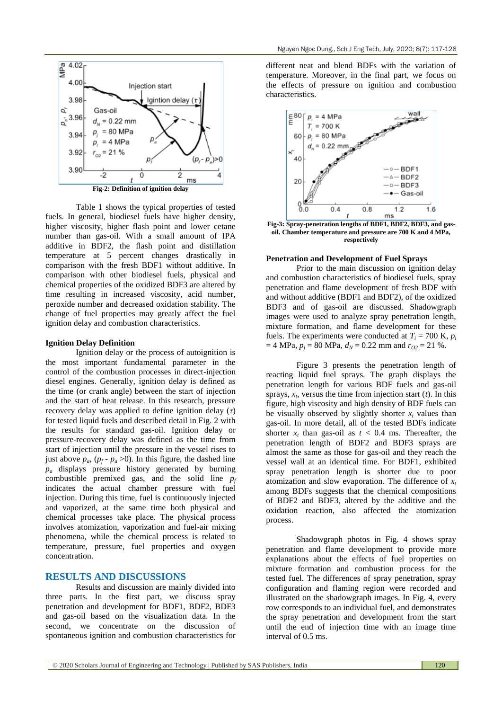

Table 1 shows the typical properties of tested fuels. In general, biodiesel fuels have higher density, higher viscosity, higher flash point and lower cetane number than gas-oil. With a small amount of IPA additive in BDF2, the flash point and distillation temperature at 5 percent changes drastically in comparison with the fresh BDF1 without additive. In comparison with other biodiesel fuels, physical and chemical properties of the oxidized BDF3 are altered by time resulting in increased viscosity, acid number, peroxide number and decreased oxidation stability. The change of fuel properties may greatly affect the fuel ignition delay and combustion characteristics.

#### **Ignition Delay Definition**

Ignition delay or the process of autoignition is the most important fundamental parameter in the control of the combustion processes in direct-injection diesel engines. Generally, ignition delay is defined as the time (or crank angle) between the start of injection and the start of heat release. In this research, pressure recovery delay was applied to define ignition delay (*τ*) for tested liquid fuels and described detail in Fig. 2 with the results for standard gas-oil. Ignition delay or pressure-recovery delay was defined as the time from start of injection until the pressure in the vessel rises to just above  $p_a$ ,  $(p_f - p_a > 0)$ . In this figure, the dashed line *p<sup>a</sup>* displays pressure history generated by burning combustible premixed gas, and the solid line *p<sup>f</sup>* indicates the actual chamber pressure with fuel injection. During this time, fuel is continuously injected and vaporized, at the same time both physical and chemical processes take place. The physical process involves atomization, vaporization and fuel-air mixing phenomena, while the chemical process is related to temperature, pressure, fuel properties and oxygen concentration.

## **RESULTS AND DISCUSSIONS**

Results and discussion are mainly divided into three parts. In the first part, we discuss spray penetration and development for BDF1, BDF2, BDF3 and gas-oil based on the visualization data. In the second, we concentrate on the discussion of spontaneous ignition and combustion characteristics for

different neat and blend BDFs with the variation of temperature. Moreover, in the final part, we focus on the effects of pressure on ignition and combustion characteristics.



**Fig-3: Spray-penetration lengths of BDF1, BDF2, BDF3, and gasoil. Chamber temperature and pressure are 700 K and 4 MPa, respectively**

#### **Penetration and Development of Fuel Sprays**

Prior to the main discussion on ignition delay and combustion characteristics of biodiesel fuels, spray penetration and flame development of fresh BDF with and without additive (BDF1 and BDF2), of the oxidized BDF3 and of gas-oil are discussed. Shadowgraph images were used to analyze spray penetration length, mixture formation, and flame development for these fuels. The experiments were conducted at  $T_i = 700$  K,  $p_i$  $= 4 \text{ MPa}, p_j = 80 \text{ MPa}, d_N = 0.22 \text{ mm and } r_{02} = 21 \text{ %}.$ 

Figure 3 presents the penetration length of reacting liquid fuel sprays. The graph displays the penetration length for various BDF fuels and gas-oil sprays,  $x_t$ , versus the time from injection start  $(t)$ . In this figure, high viscosity and high density of BDF fuels can be visually observed by slightly shorter  $x_t$  values than gas-oil. In more detail, all of the tested BDFs indicate shorter  $x_t$  than gas-oil as  $t < 0.4$  ms. Thereafter, the penetration length of BDF2 and BDF3 sprays are almost the same as those for gas-oil and they reach the vessel wall at an identical time. For BDF1, exhibited spray penetration length is shorter due to poor atomization and slow evaporation. The difference of *x<sup>t</sup>* among BDFs suggests that the chemical compositions of BDF2 and BDF3, altered by the additive and the oxidation reaction, also affected the atomization process.

Shadowgraph photos in Fig. 4 shows spray penetration and flame development to provide more explanations about the effects of fuel properties on mixture formation and combustion process for the tested fuel. The differences of spray penetration, spray configuration and flaming region were recorded and illustrated on the shadowgraph images. In Fig. 4, every row corresponds to an individual fuel, and demonstrates the spray penetration and development from the start until the end of injection time with an image time interval of 0.5 ms.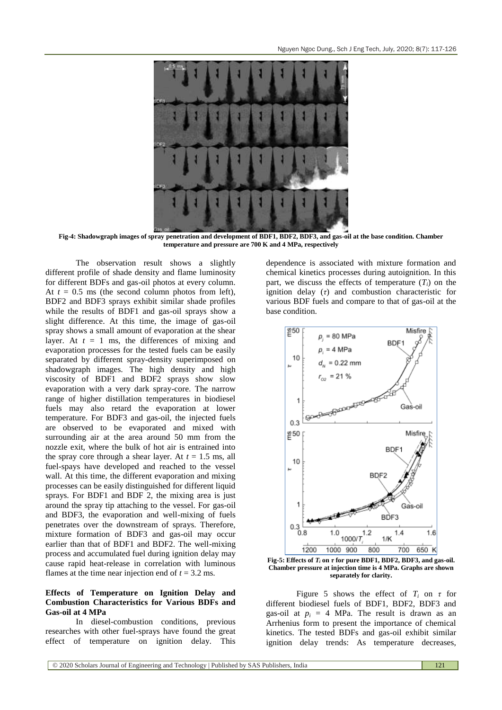

**Fig-4: Shadowgraph images of spray penetration and development of BDF1, BDF2, BDF3, and gas-oil at the base condition. Chamber temperature and pressure are 700 K and 4 MPa, respectively**

The observation result shows a slightly different profile of shade density and flame luminosity for different BDFs and gas-oil photos at every column. At  $t = 0.5$  ms (the second column photos from left), BDF2 and BDF3 sprays exhibit similar shade profiles while the results of BDF1 and gas-oil sprays show a slight difference. At this time, the image of gas-oil spray shows a small amount of evaporation at the shear layer. At  $t = 1$  ms, the differences of mixing and evaporation processes for the tested fuels can be easily separated by different spray-density superimposed on shadowgraph images. The high density and high viscosity of BDF1 and BDF2 sprays show slow evaporation with a very dark spray-core. The narrow range of higher distillation temperatures in biodiesel fuels may also retard the evaporation at lower temperature. For BDF3 and gas-oil, the injected fuels are observed to be evaporated and mixed with surrounding air at the area around 50 mm from the nozzle exit, where the bulk of hot air is entrained into the spray core through a shear layer. At  $t = 1.5$  ms, all fuel-spays have developed and reached to the vessel wall. At this time, the different evaporation and mixing processes can be easily distinguished for different liquid sprays. For BDF1 and BDF 2, the mixing area is just around the spray tip attaching to the vessel. For gas-oil and BDF3, the evaporation and well-mixing of fuels penetrates over the downstream of sprays. Therefore, mixture formation of BDF3 and gas-oil may occur earlier than that of BDF1 and BDF2. The well-mixing process and accumulated fuel during ignition delay may cause rapid heat-release in correlation with luminous flames at the time near injection end of  $t = 3.2$  ms.

## **Effects of Temperature on Ignition Delay and Combustion Characteristics for Various BDFs and Gas-oil at 4 MPa**

In diesel-combustion conditions, previous researches with other fuel-sprays have found the great effect of temperature on ignition delay. This

dependence is associated with mixture formation and chemical kinetics processes during autoignition. In this part, we discuss the effects of temperature  $(T_i)$  on the ignition delay (*τ*) and combustion characteristic for various BDF fuels and compare to that of gas-oil at the base condition.



**Fig-5:** Effects of  $T_i$  on  $\tau$  for pure BDF1, BDF2, BDF3, and gas-oil. **Chamber pressure at injection time is 4 MPa. Graphs are shown separately for clarity.**

Figure 5 shows the effect of  $T_i$  on  $\tau$  for different biodiesel fuels of BDF1, BDF2, BDF3 and gas-oil at  $p_i = 4$  MPa. The result is drawn as an Arrhenius form to present the importance of chemical kinetics. The tested BDFs and gas-oil exhibit similar ignition delay trends: As temperature decreases,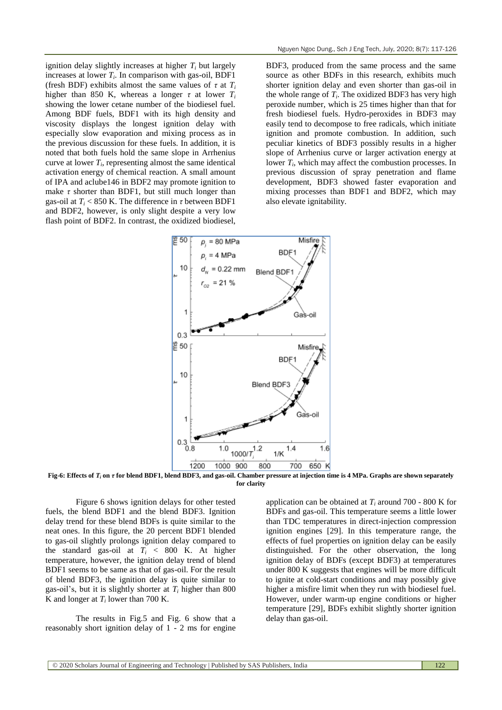ignition delay slightly increases at higher *T<sup>i</sup>* but largely increases at lower  $T_i$ . In comparison with gas-oil, BDF1 (fresh BDF) exhibits almost the same values of  $\tau$  at  $T_i$ higher than 850 K, whereas a longer  $\tau$  at lower  $T_i$ showing the lower cetane number of the biodiesel fuel. Among BDF fuels, BDF1 with its high density and viscosity displays the longest ignition delay with especially slow evaporation and mixing process as in the previous discussion for these fuels. In addition, it is noted that both fuels hold the same slope in Arrhenius curve at lower  $T_i$ , representing almost the same identical activation energy of chemical reaction. A small amount of IPA and aclube146 in BDF2 may promote ignition to make  $\tau$  shorter than BDF1, but still much longer than gas-oil at  $T_i$  < 850 K. The difference in  $\tau$  between BDF1 and BDF2, however, is only slight despite a very low flash point of BDF2. In contrast, the oxidized biodiesel,

BDF3, produced from the same process and the same source as other BDFs in this research, exhibits much shorter ignition delay and even shorter than gas-oil in the whole range of  $T_i$ . The oxidized BDF3 has very high peroxide number, which is 25 times higher than that for fresh biodiesel fuels. Hydro-peroxides in BDF3 may easily tend to decompose to free radicals, which initiate ignition and promote combustion. In addition, such peculiar kinetics of BDF3 possibly results in a higher slope of Arrhenius curve or larger activation energy at lower  $T_i$ , which may affect the combustion processes. In previous discussion of spray penetration and flame development, BDF3 showed faster evaporation and mixing processes than BDF1 and BDF2, which may also elevate ignitability.



**Fig-6: Effects of** *T<sup>i</sup>* **on** *τ* **for blend BDF1, blend BDF3, and gas-oil. Chamber pressure at injection time is 4 MPa. Graphs are shown separately for clarity**

Figure 6 shows ignition delays for other tested fuels, the blend BDF1 and the blend BDF3. Ignition delay trend for these blend BDFs is quite similar to the neat ones. In this figure, the 20 percent BDF1 blended to gas-oil slightly prolongs ignition delay compared to the standard gas-oil at  $T_i$  < 800 K. At higher temperature, however, the ignition delay trend of blend BDF1 seems to be same as that of gas-oil. For the result of blend BDF3, the ignition delay is quite similar to gas-oil's, but it is slightly shorter at  $T_i$  higher than 800 K and longer at  $T_i$  lower than 700 K.

The results in Fig.5 and Fig. 6 show that a reasonably short ignition delay of 1 - 2 ms for engine application can be obtained at  $T_i$  around 700 - 800 K for BDFs and gas-oil. This temperature seems a little lower than TDC temperatures in direct-injection compression ignition engines [29]. In this temperature range, the effects of fuel properties on ignition delay can be easily distinguished. For the other observation, the long ignition delay of BDFs (except BDF3) at temperatures under 800 K suggests that engines will be more difficult to ignite at cold-start conditions and may possibly give higher a misfire limit when they run with biodiesel fuel. However, under warm-up engine conditions or higher temperature [29], BDFs exhibit slightly shorter ignition delay than gas-oil.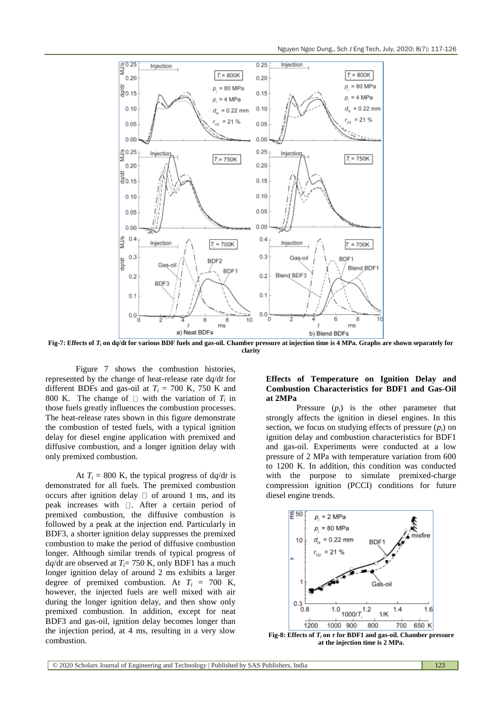Nguyen Ngoc Dung., Sch J Eng Tech, July, 2020; 8(7): 117-126



**Fig-7: Effects of** *T<sup>i</sup>* **on d***q***/d***t* **for various BDF fuels and gas-oil. Chamber pressure at injection time is 4 MPa. Graphs are shown separately for clarity**

Figure 7 shows the combustion histories, represented by the change of heat-release rate d*q*/d*t* for different BDFs and gas-oil at  $T_i = 700$  K, 750 K and 800 K. The change of  $\Box$  with the variation of  $T_i$  in those fuels greatly influences the combustion processes. The heat-release rates shown in this figure demonstrate the combustion of tested fuels, with a typical ignition delay for diesel engine application with premixed and diffusive combustion, and a longer ignition delay with only premixed combustion.

At  $T_i = 800$  K, the typical progress of  $dq/dt$  is demonstrated for all fuels. The premixed combustion occurs after ignition delay  $\Box$  of around 1 ms, and its peak increases with  $\Box$ . After a certain period of premixed combustion, the diffusive combustion is followed by a peak at the injection end. Particularly in BDF3, a shorter ignition delay suppresses the premixed combustion to make the period of diffusive combustion longer. Although similar trends of typical progress of  $dq/dt$  are observed at  $T_i$ = 750 K, only BDF1 has a much longer ignition delay of around 2 ms exhibits a larger degree of premixed combustion. At  $T_i = 700$  K, however, the injected fuels are well mixed with air during the longer ignition delay, and then show only premixed combustion. In addition, except for neat BDF3 and gas-oil, ignition delay becomes longer than the injection period, at 4 ms, resulting in a very slow combustion.

## **Effects of Temperature on Ignition Delay and Combustion Characteristics for BDF1 and Gas-Oil at 2MPa**

Pressure  $(p_i)$  is the other parameter that strongly affects the ignition in diesel engines. In this section, we focus on studying effects of pressure  $(p_i)$  on ignition delay and combustion characteristics for BDF1 and gas-oil. Experiments were conducted at a low pressure of 2 MPa with temperature variation from 600 to 1200 K. In addition, this condition was conducted with the purpose to simulate premixed-charge compression ignition (PCCI) conditions for future diesel engine trends.



**at the injection time is 2 MPa.**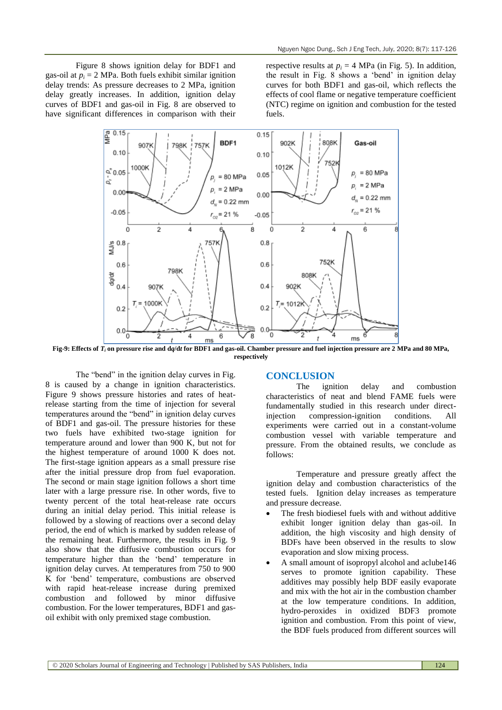Figure 8 shows ignition delay for BDF1 and gas-oil at  $p_i = 2$  MPa. Both fuels exhibit similar ignition delay trends: As pressure decreases to 2 MPa, ignition delay greatly increases. In addition, ignition delay curves of BDF1 and gas-oil in Fig. 8 are observed to have significant differences in comparison with their

respective results at  $p_i = 4$  MPa (in Fig. 5). In addition, the result in Fig. 8 shows a "bend" in ignition delay curves for both BDF1 and gas-oil, which reflects the effects of cool flame or negative temperature coefficient (NTC) regime on ignition and combustion for the tested fuels.



**Fig-9: Effects of** *T<sup>i</sup>* **on pressure rise and d***q***/d***t* **for BDF1 and gas-oil. Chamber pressure and fuel injection pressure are 2 MPa and 80 MPa, respectively**

The "bend" in the ignition delay curves in Fig. 8 is caused by a change in ignition characteristics. Figure 9 shows pressure histories and rates of heatrelease starting from the time of injection for several temperatures around the "bend" in ignition delay curves of BDF1 and gas-oil. The pressure histories for these two fuels have exhibited two-stage ignition for temperature around and lower than 900 K, but not for the highest temperature of around 1000 K does not. The first-stage ignition appears as a small pressure rise after the initial pressure drop from fuel evaporation. The second or main stage ignition follows a short time later with a large pressure rise. In other words, five to twenty percent of the total heat-release rate occurs during an initial delay period. This initial release is followed by a slowing of reactions over a second delay period, the end of which is marked by sudden release of the remaining heat. Furthermore, the results in Fig. 9 also show that the diffusive combustion occurs for temperature higher than the "bend" temperature in ignition delay curves. At temperatures from 750 to 900 K for "bend" temperature, combustions are observed with rapid heat-release increase during premixed combustion and followed by minor diffusive combustion. For the lower temperatures, BDF1 and gasoil exhibit with only premixed stage combustion.

## **CONCLUSION**

The ignition delay and combustion characteristics of neat and blend FAME fuels were fundamentally studied in this research under directinjection compression-ignition conditions. All experiments were carried out in a constant-volume combustion vessel with variable temperature and pressure. From the obtained results, we conclude as follows:

Temperature and pressure greatly affect the ignition delay and combustion characteristics of the tested fuels. Ignition delay increases as temperature and pressure decrease.

- The fresh biodiesel fuels with and without additive exhibit longer ignition delay than gas-oil. In addition, the high viscosity and high density of BDFs have been observed in the results to slow evaporation and slow mixing process.
- A small amount of isopropyl alcohol and aclube146 serves to promote ignition capability. These additives may possibly help BDF easily evaporate and mix with the hot air in the combustion chamber at the low temperature conditions. In addition, hydro-peroxides in oxidized BDF3 promote ignition and combustion. From this point of view, the BDF fuels produced from different sources will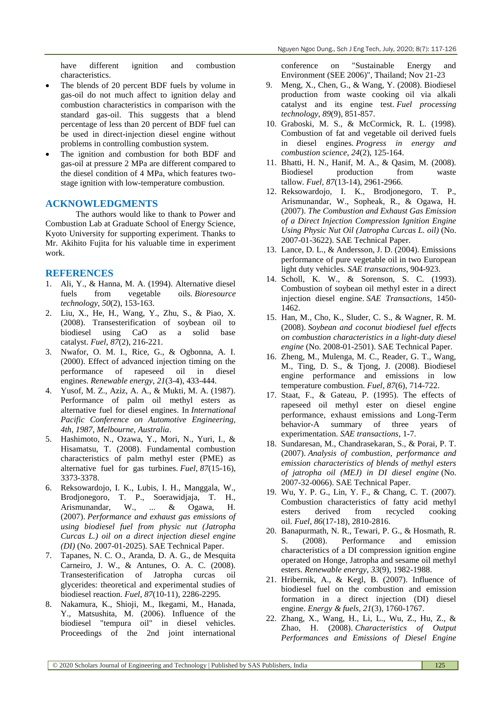have different ignition and combustion characteristics.

- The blends of 20 percent BDF fuels by volume in gas-oil do not much affect to ignition delay and combustion characteristics in comparison with the standard gas-oil. This suggests that a blend percentage of less than 20 percent of BDF fuel can be used in direct-injection diesel engine without problems in controlling combustion system.
- The ignition and combustion for both BDF and gas-oil at pressure 2 MPa are different compared to the diesel condition of 4 MPa, which features twostage ignition with low-temperature combustion.

## **ACKNOWLEDGMENTS**

The authors would like to thank to Power and Combustion Lab at Graduate School of Energy Science, Kyoto University for supporting experiment. Thanks to Mr. Akihito Fujita for his valuable time in experiment work.

## **REFERENCES**

- 1. Ali, Y., & Hanna, M. A. (1994). Alternative diesel fuels from vegetable oils. *Bioresource technology*, *50*(2), 153-163.
- 2. Liu, X., He, H., Wang, Y., Zhu, S., & Piao, X. (2008). Transesterification of soybean oil to biodiesel using CaO as a solid base catalyst. *Fuel*, *87*(2), 216-221.
- 3. Nwafor, O. M. I., Rice, G., & Ogbonna, A. I. (2000). Effect of advanced injection timing on the performance of rapeseed oil in diesel engines. *Renewable energy*, *21*(3-4), 433-444.
- 4. Yusof, M. Z., Aziz, A. A., & Mukti, M. A. (1987). Performance of palm oil methyl esters as alternative fuel for diesel engines. In *International Pacific Conference on Automotive Engineering, 4th, 1987, Melbourne, Australia*.
- 5. Hashimoto, N., Ozawa, Y., Mori, N., Yuri, I., & Hisamatsu, T. (2008). Fundamental combustion characteristics of palm methyl ester (PME) as alternative fuel for gas turbines. *Fuel*, *87*(15-16), 3373-3378.
- 6. Reksowardojo, I. K., Lubis, I. H., Manggala, W., Brodjonegoro, T. P., Soerawidjaja, T. H., Arismunandar, W., ... & Ogawa, H. (2007). *Performance and exhaust gas emissions of using biodiesel fuel from physic nut (Jatropha Curcas L.) oil on a direct injection diesel engine (DI)* (No. 2007-01-2025). SAE Technical Paper.
- 7. Tapanes, N. C. O., Aranda, D. A. G., de Mesquita Carneiro, J. W., & Antunes, O. A. C. (2008). Transesterification of Jatropha curcas oil glycerides: theoretical and experimental studies of biodiesel reaction. *Fuel*, *87*(10-11), 2286-2295.
- 8. Nakamura, K., Shioji, M., Ikegami, M., Hanada, Y., Matsushita, M. (2006). Influence of the biodiesel "tempura oil" in diesel vehicles. Proceedings of the 2nd joint international

conference on "Sustainable Energy and Environment (SEE 2006)", Thailand; Nov 21-23

- 9. Meng, X., Chen, G., & Wang, Y. (2008). Biodiesel production from waste cooking oil via alkali catalyst and its engine test. *Fuel processing technology*, *89*(9), 851-857.
- 10. Graboski, M. S., & McCormick, R. L. (1998). Combustion of fat and vegetable oil derived fuels in diesel engines. *Progress in energy and combustion science*, *24*(2), 125-164.
- 11. Bhatti, H. N., Hanif, M. A., & Qasim, M. (2008). Biodiesel production from waste tallow. *Fuel*, *87*(13-14), 2961-2966.
- 12. Reksowardojo, I. K., Brodjonegoro, T. P., Arismunandar, W., Sopheak, R., & Ogawa, H. (2007). *The Combustion and Exhaust Gas Emission of a Direct Injection Compression Ignition Engine Using Physic Nut Oil (Jatropha Curcas L. oil)* (No. 2007-01-3622). SAE Technical Paper.
- 13. Lance, D. L., & Andersson, J. D. (2004). Emissions performance of pure vegetable oil in two European light duty vehicles. *SAE transactions*, 904-923.
- 14. Scholl, K. W., & Sorenson, S. C. (1993). Combustion of soybean oil methyl ester in a direct injection diesel engine. *SAE Transactions*, 1450- 1462.
- 15. Han, M., Cho, K., Sluder, C. S., & Wagner, R. M. (2008). *Soybean and coconut biodiesel fuel effects on combustion characteristics in a light-duty diesel engine* (No. 2008-01-2501). SAE Technical Paper.
- 16. Zheng, M., Mulenga, M. C., Reader, G. T., Wang, M., Ting, D. S., & Tjong, J. (2008). Biodiesel engine performance and emissions in low temperature combustion. *Fuel*, *87*(6), 714-722.
- 17. Staat, F., & Gateau, P. (1995). The effects of rapeseed oil methyl ester on diesel engine performance, exhaust emissions and Long-Term behavior-A summary of three years of experimentation. *SAE transactions*, 1-7.
- 18. Sundaresan, M., Chandrasekaran, S., & Porai, P. T. (2007). *Analysis of combustion, performance and emission characteristics of blends of methyl esters of jatropha oil (MEJ) in DI diesel engine* (No. 2007-32-0066). SAE Technical Paper.
- 19. Wu, Y. P. G., Lin, Y. F., & Chang, C. T. (2007). Combustion characteristics of fatty acid methyl esters derived from recycled cooking oil. *Fuel*, *86*(17-18), 2810-2816.
- 20. Banapurmath, N. R., Tewari, P. G., & Hosmath, R. S. (2008). Performance and emission characteristics of a DI compression ignition engine operated on Honge, Jatropha and sesame oil methyl esters. *Renewable energy*, *33*(9), 1982-1988.
- 21. Hribernik, A., & Kegl, B. (2007). Influence of biodiesel fuel on the combustion and emission formation in a direct injection (DI) diesel engine. *Energy & fuels*, *21*(3), 1760-1767.
- 22. Zhang, X., Wang, H., Li, L., Wu, Z., Hu, Z., & Zhao, H. (2008). *Characteristics of Output Performances and Emissions of Diesel Engine*